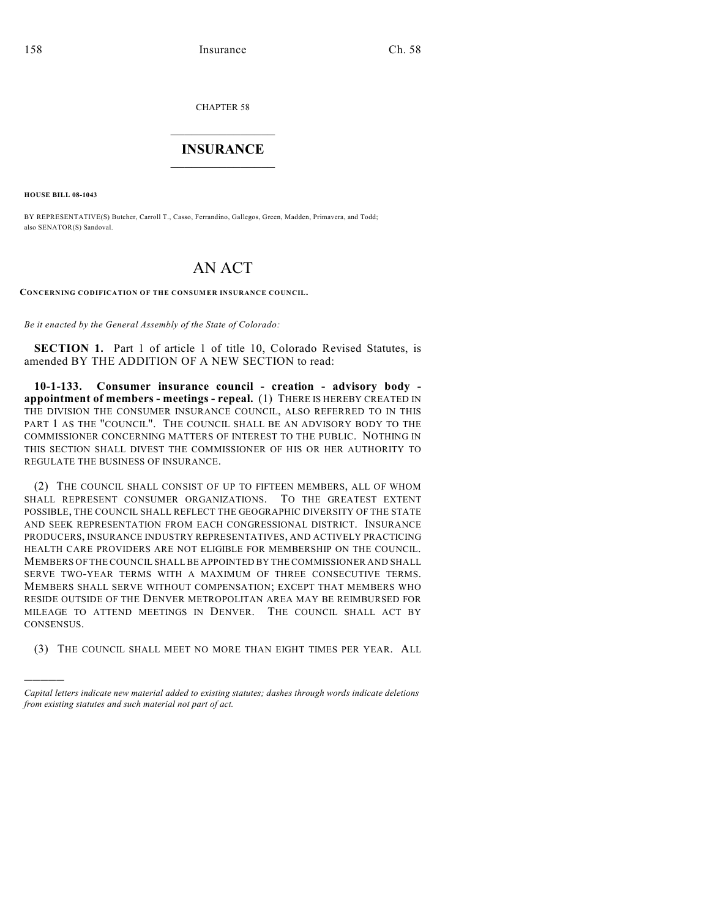CHAPTER 58

## $\mathcal{L}_\text{max}$  . The set of the set of the set of the set of the set of the set of the set of the set of the set of the set of the set of the set of the set of the set of the set of the set of the set of the set of the set **INSURANCE**  $\frac{1}{2}$  ,  $\frac{1}{2}$  ,  $\frac{1}{2}$  ,  $\frac{1}{2}$  ,  $\frac{1}{2}$  ,  $\frac{1}{2}$  ,  $\frac{1}{2}$

**HOUSE BILL 08-1043**

)))))

BY REPRESENTATIVE(S) Butcher, Carroll T., Casso, Ferrandino, Gallegos, Green, Madden, Primavera, and Todd; also SENATOR(S) Sandoval.

## AN ACT

**CONCERNING CODIFICATION OF THE CONSUMER INSURANCE COUNCIL.**

*Be it enacted by the General Assembly of the State of Colorado:*

**SECTION 1.** Part 1 of article 1 of title 10, Colorado Revised Statutes, is amended BY THE ADDITION OF A NEW SECTION to read:

**10-1-133. Consumer insurance council - creation - advisory body appointment of members - meetings - repeal.** (1) THERE IS HEREBY CREATED IN THE DIVISION THE CONSUMER INSURANCE COUNCIL, ALSO REFERRED TO IN THIS PART 1 AS THE "COUNCIL". THE COUNCIL SHALL BE AN ADVISORY BODY TO THE COMMISSIONER CONCERNING MATTERS OF INTEREST TO THE PUBLIC. NOTHING IN THIS SECTION SHALL DIVEST THE COMMISSIONER OF HIS OR HER AUTHORITY TO REGULATE THE BUSINESS OF INSURANCE.

(2) THE COUNCIL SHALL CONSIST OF UP TO FIFTEEN MEMBERS, ALL OF WHOM SHALL REPRESENT CONSUMER ORGANIZATIONS. TO THE GREATEST EXTENT POSSIBLE, THE COUNCIL SHALL REFLECT THE GEOGRAPHIC DIVERSITY OF THE STATE AND SEEK REPRESENTATION FROM EACH CONGRESSIONAL DISTRICT. INSURANCE PRODUCERS, INSURANCE INDUSTRY REPRESENTATIVES, AND ACTIVELY PRACTICING HEALTH CARE PROVIDERS ARE NOT ELIGIBLE FOR MEMBERSHIP ON THE COUNCIL. MEMBERS OF THE COUNCIL SHALL BE APPOINTED BY THE COMMISSIONER AND SHALL SERVE TWO-YEAR TERMS WITH A MAXIMUM OF THREE CONSECUTIVE TERMS. MEMBERS SHALL SERVE WITHOUT COMPENSATION; EXCEPT THAT MEMBERS WHO RESIDE OUTSIDE OF THE DENVER METROPOLITAN AREA MAY BE REIMBURSED FOR MILEAGE TO ATTEND MEETINGS IN DENVER. THE COUNCIL SHALL ACT BY CONSENSUS.

(3) THE COUNCIL SHALL MEET NO MORE THAN EIGHT TIMES PER YEAR. ALL

*Capital letters indicate new material added to existing statutes; dashes through words indicate deletions from existing statutes and such material not part of act.*